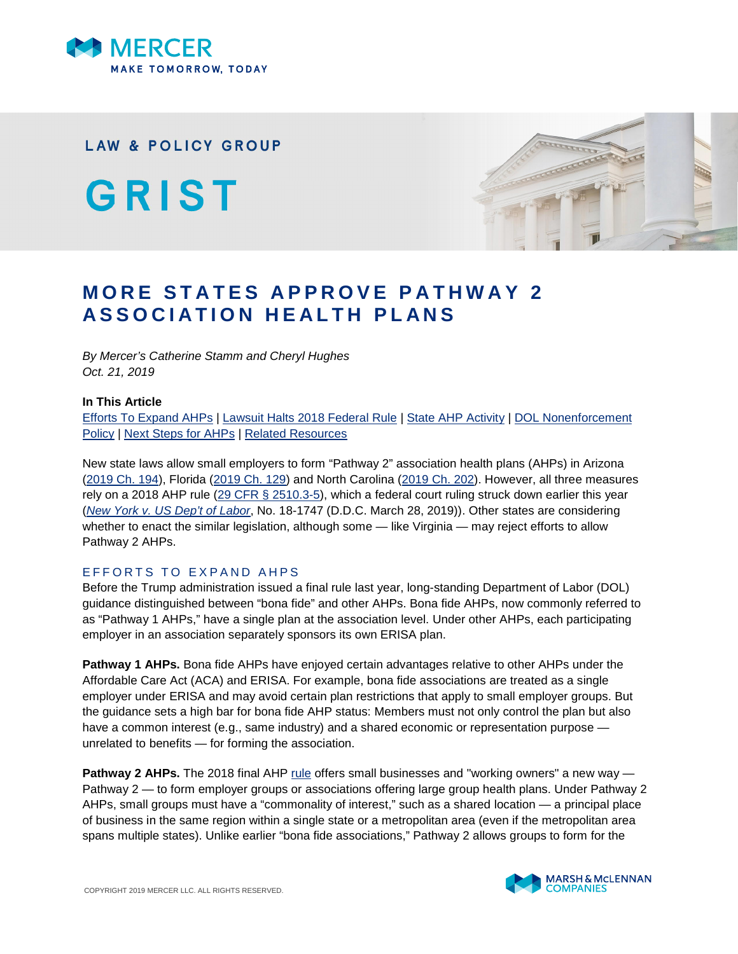

**LAW & POLICY GROUP** 

GRIST



# **MORE STATES APPROVE PATHWAY 2 ASSOCIATION HEALTH PLANS**

*By Mercer's Catherine Stamm and Cheryl Hughes Oct. 21, 2019*

#### **In This Article**

[Efforts To Expand AHPs](#page-0-0) | [Lawsuit Halts 2018 Federal Rule](#page-1-0) | [State AHP Activity](#page-1-1) | [DOL Nonenforcement](#page-2-0) [Policy](#page-2-0) | [Next Steps for AHPs](#page-2-1) | [Related Resources](#page-3-0)

New state laws allow small employers to form "Pathway 2" association health plans (AHPs) in Arizona ([2019 Ch. 194\)](https://www.azleg.gov/legtext/54leg/1R/laws/0194.htm), Florida ([2019 Ch. 129\)](http://laws.flrules.org/2019/129) and North Carolina ([2019 Ch. 202\)](https://www.ncleg.gov/Sessions/2019/Bills/Senate/PDF/S86v7.pdf). However, all three measures rely on a 2018 AHP rule ([29 CFR § 2510.3-5\)](https://www.ecfr.gov/cgi-bin/text-idx?SID=c5525e1391d77ee786a3fe0262172d2b&mc=true&node=se29.9.2510_13_65&rgn=div8), which a federal court ruling struck down earlier this year (*[New York v. US Dep't of Labor](https://ecf.dcd.uscourts.gov/cgi-bin/show_public_doc?2018cv1747-79)*, No. 18-1747 (D.D.C. March 28, 2019)). Other states are considering whether to enact the similar legislation, although some — like Virginia — may reject efforts to allow Pathway 2 AHPs.

# <span id="page-0-0"></span>EFFORTS TO EXPAND AHPS

Before the Trump administration issued a final rule last year, long-standing Department of Labor (DOL) guidance distinguished between "bona fide" and other AHPs. Bona fide AHPs, now commonly referred to as "Pathway 1 AHPs," have a single plan at the association level. Under other AHPs, each participating employer in an association separately sponsors its own ERISA plan.

**Pathway 1 AHPs.** Bona fide AHPs have enjoyed certain advantages relative to other AHPs under the Affordable Care Act (ACA) and ERISA. For example, bona fide associations are treated as a single employer under ERISA and may avoid certain plan restrictions that apply to small employer groups. But the guidance sets a high bar for bona fide AHP status: Members must not only control the plan but also have a common interest (e.g., same industry) and a shared economic or representation purpose unrelated to benefits — for forming the association.

**Pathway 2 AHPs.** The 2018 final AHP [rule](https://www.federalregister.gov/documents/2018/06/21/2018-12992/definition-of-employer-under-section-35-of-erisa-association-health-plans) offers small businesses and "working owners" a new way — Pathway 2 — to form employer groups or associations offering large group health plans. Under Pathway 2 AHPs, small groups must have a "commonality of interest," such as a shared location — a principal place of business in the same region within a single state or a metropolitan area (even if the metropolitan area spans multiple states). Unlike earlier "bona fide associations," Pathway 2 allows groups to form for the

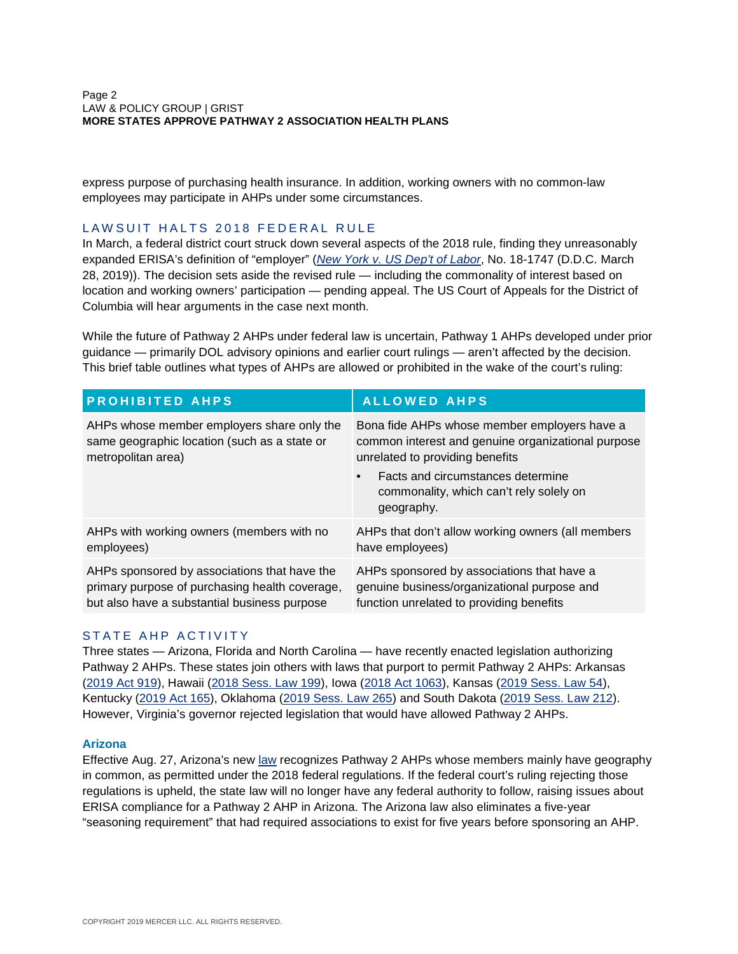#### Page 2 LAW & POLICY GROUP | GRIST **MORE STATES APPROVE PATHWAY 2 ASSOCIATION HEALTH PLANS**

express purpose of purchasing health insurance. In addition, working owners with no common-law employees may participate in AHPs under some circumstances.

### <span id="page-1-0"></span>LAWSUIT HALTS 2018 FEDERAL RULE

In March, a federal district court struck down several aspects of the 2018 rule, finding they unreasonably expanded ERISA's definition of "employer" (*[New York v. US Dep't of Labor](https://ecf.dcd.uscourts.gov/cgi-bin/show_public_doc?2018cv1747-79)*, No. 18-1747 (D.D.C. March 28, 2019)). The decision sets aside the revised rule — including the commonality of interest based on location and working owners' participation — pending appeal. The US Court of Appeals for the District of Columbia will hear arguments in the case next month.

While the future of Pathway 2 AHPs under federal law is uncertain, Pathway 1 AHPs developed under prior guidance — primarily DOL advisory opinions and earlier court rulings — aren't affected by the decision. This brief table outlines what types of AHPs are allowed or prohibited in the wake of the court's ruling:

| <b>PROHIBITED AHPS</b>                         | <b>ALLOWED AHPS</b>                                                                        |
|------------------------------------------------|--------------------------------------------------------------------------------------------|
| AHPs whose member employers share only the     | Bona fide AHPs whose member employers have a                                               |
| same geographic location (such as a state or   | common interest and genuine organizational purpose                                         |
| metropolitan area)                             | unrelated to providing benefits                                                            |
|                                                | Facts and circumstances determine<br>commonality, which can't rely solely on<br>geography. |
| AHPs with working owners (members with no      | AHPs that don't allow working owners (all members                                          |
| employees)                                     | have employees)                                                                            |
| AHPs sponsored by associations that have the   | AHPs sponsored by associations that have a                                                 |
| primary purpose of purchasing health coverage, | genuine business/organizational purpose and                                                |
| but also have a substantial business purpose   | function unrelated to providing benefits                                                   |

# <span id="page-1-1"></span>STATE AHP ACTIVITY

Three states — Arizona, Florida and North Carolina — have recently enacted legislation authorizing Pathway 2 AHPs. These states join others with laws that purport to permit Pathway 2 AHPs: Arkansas ([2019 Act 919\)](http://www.arkleg.state.ar.us/assembly/2019/2019R/Acts/Act919.pdf), Hawaii ([2018 Sess. Law 199](https://www.capitol.hawaii.gov/slh/Years/SLH2018/SLH2018_Act199.pdf)), Iowa [\(2018 Act 1063\)](https://www.legis.iowa.gov/docs/publications/iactc/87.2/CH1063.pdf), Kansas [\(2019 Sess. Law 54](http://www.kslegislature.org/li/b2019_20/measures/documents/hb2209_enrolled.pdf)), Kentucky ([2019 Act 165\)](https://apps.legislature.ky.gov/recorddocuments/bill/19RS/hb396/bill.pdf), Oklahoma [\(2019 Sess. Law 265\)](https://www.sos.ok.gov/documents/legislation/57th/2019/1R/SB/943.pdf) and South Dakota [\(2019 Sess. Law 212\)](http://sdlegislature.gov/statutes/Session_Laws/DisplayChapter.aspx?Chapter=212&Session=2019). However, Virginia's governor rejected legislation that would have allowed Pathway 2 AHPs.

#### **Arizona**

Effective Aug. 27, Arizona's new [law](https://www.azleg.gov/legtext/54leg/1R/laws/0194.htm) recognizes Pathway 2 AHPs whose members mainly have geography in common, as permitted under the 2018 federal regulations. If the federal court's ruling rejecting those regulations is upheld, the state law will no longer have any federal authority to follow, raising issues about ERISA compliance for a Pathway 2 AHP in Arizona. The Arizona law also eliminates a five-year "seasoning requirement" that had required associations to exist for five years before sponsoring an AHP.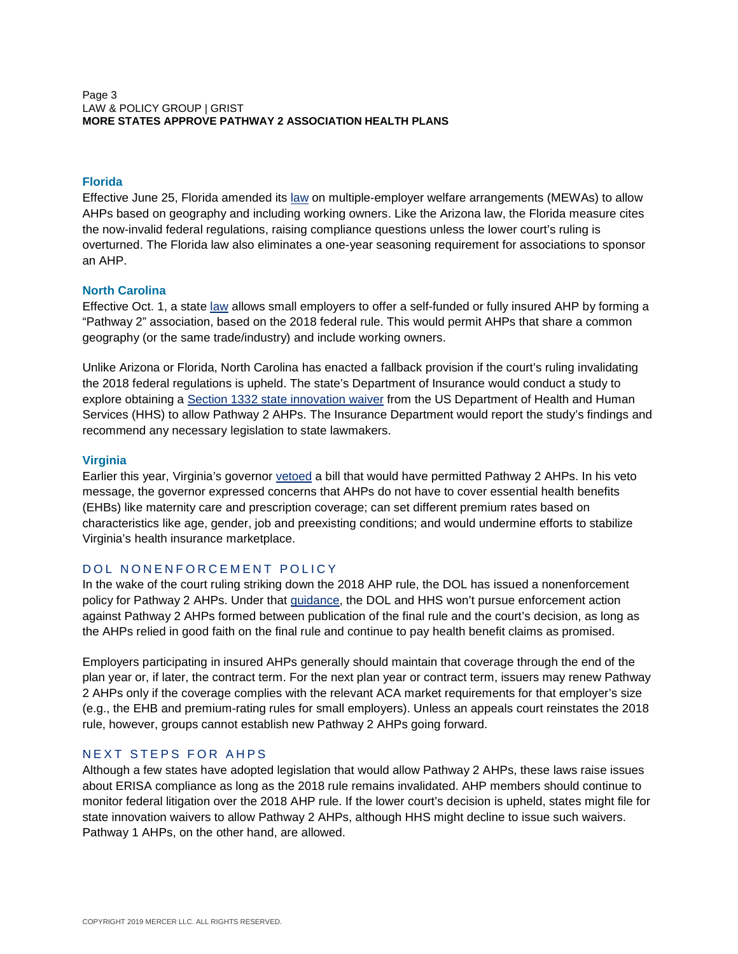#### Page 3 LAW & POLICY GROUP | GRIST **MORE STATES APPROVE PATHWAY 2 ASSOCIATION HEALTH PLANS**

## **Florida**

Effective June 25, Florida amended its [law](http://laws.flrules.org/2019/129) on multiple-employer welfare arrangements (MEWAs) to allow AHPs based on geography and including working owners. Like the Arizona law, the Florida measure cites the now-invalid federal regulations, raising compliance questions unless the lower court's ruling is overturned. The Florida law also eliminates a one-year seasoning requirement for associations to sponsor an AHP.

#### **North Carolina**

Effective Oct. 1, a state [law](https://www.ncleg.gov/Sessions/2019/Bills/Senate/PDF/S86v7.pdf) allows small employers to offer a self-funded or fully insured AHP by forming a "Pathway 2" association, based on the 2018 federal rule. This would permit AHPs that share a common geography (or the same trade/industry) and include working owners.

Unlike Arizona or Florida, North Carolina has enacted a fallback provision if the court's ruling invalidating the 2018 federal regulations is upheld. The state's Department of Insurance would conduct a study to explore obtaining a [Section 1332 state innovation waiver](https://www.cms.gov/CCIIO/Programs-and-Initiatives/State-Innovation-Waivers/Section_1332_state_Innovation_Waivers-.html) from the US Department of Health and Human Services (HHS) to allow Pathway 2 AHPs. The Insurance Department would report the study's findings and recommend any necessary legislation to state lawmakers.

### **Virginia**

Earlier this year, Virginia's governor [vetoed](https://web.archive.org/web/20190513181559/https:/www.governor.virginia.gov/newsroom/all-releases/2019/may/headline-840388-en.html) a bill that would have permitted Pathway 2 AHPs. In his veto message, the governor expressed concerns that AHPs do not have to cover essential health benefits (EHBs) like maternity care and prescription coverage; can set different premium rates based on characteristics like age, gender, job and preexisting conditions; and would undermine efforts to stabilize Virginia's health insurance marketplace.

# <span id="page-2-0"></span>DOL NONENFORCEMENT POLICY

In the wake of the court ruling striking down the 2018 AHP rule, the DOL has issued a nonenforcement policy for Pathway 2 AHPs. Under that [guidance,](https://www.dol.gov/sites/dolgov/files/ebsa/about-ebsa/our-activities/resource-center/faqs/ahp-q-and-a-court-ruling-part-2.pdf) the DOL and HHS won't pursue enforcement action against Pathway 2 AHPs formed between publication of the final rule and the court's decision, as long as the AHPs relied in good faith on the final rule and continue to pay health benefit claims as promised.

Employers participating in insured AHPs generally should maintain that coverage through the end of the plan year or, if later, the contract term. For the next plan year or contract term, issuers may renew Pathway 2 AHPs only if the coverage complies with the relevant ACA market requirements for that employer's size (e.g., the EHB and premium-rating rules for small employers). Unless an appeals court reinstates the 2018 rule, however, groups cannot establish new Pathway 2 AHPs going forward.

# <span id="page-2-1"></span>NEXT STEPS FOR AHPS

Although a few states have adopted legislation that would allow Pathway 2 AHPs, these laws raise issues about ERISA compliance as long as the 2018 rule remains invalidated. AHP members should continue to monitor federal litigation over the 2018 AHP rule. If the lower court's decision is upheld, states might file for state innovation waivers to allow Pathway 2 AHPs, although HHS might decline to issue such waivers. Pathway 1 AHPs, on the other hand, are allowed.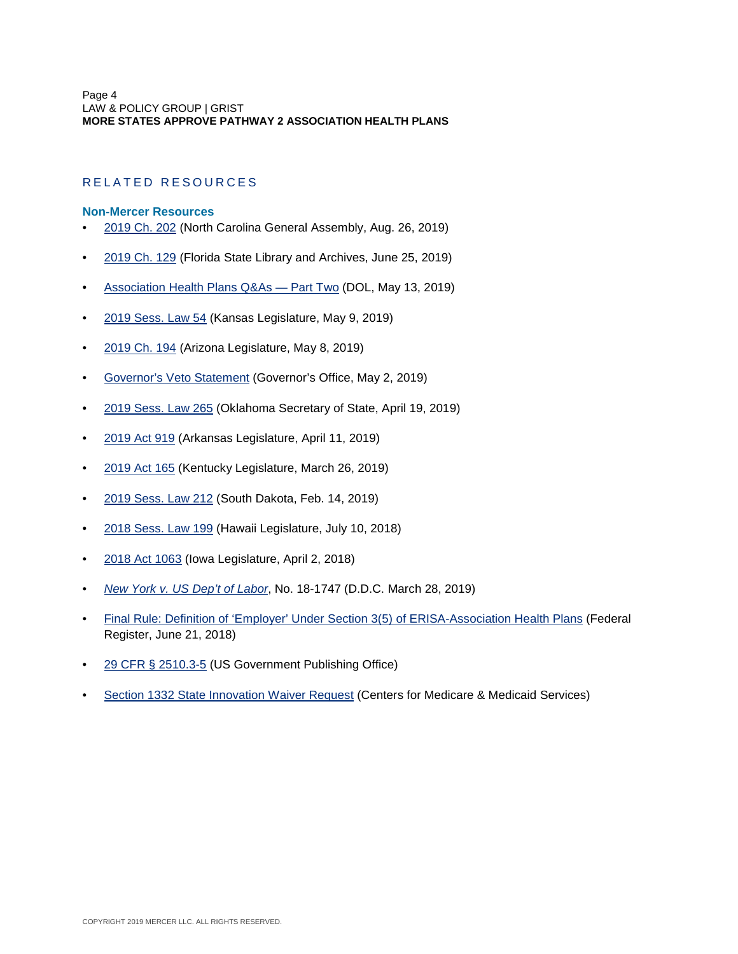# <span id="page-3-0"></span>RELATED RESOURCES

#### **Non-Mercer Resources**

- [2019 Ch. 202](https://www.ncleg.gov/Sessions/2019/Bills/Senate/PDF/S86v7.pdf) (North Carolina General Assembly, Aug. 26, 2019)
- [2019 Ch. 129](http://laws.flrules.org/2019/129) (Florida State Library and Archives, June 25, 2019)
- Association Health Plans Q&As Part Two (DOL, May 13, 2019)
- [2019 Sess. Law 54](http://www.kslegislature.org/li/b2019_20/measures/documents/hb2209_enrolled.pdf) (Kansas Legislature, May 9, 2019)
- [2019 Ch. 194](https://www.azleg.gov/legtext/54leg/1R/laws/0194.htm) (Arizona Legislature, May 8, 2019)
- [Governor's Veto Statement](https://web.archive.org/web/20190513181559/https:/www.governor.virginia.gov/newsroom/all-releases/2019/may/headline-840388-en.html) (Governor's Office, May 2, 2019)
- [2019 Sess. Law 265](https://www.sos.ok.gov/documents/legislation/57th/2019/1R/SB/943.pdf) (Oklahoma Secretary of State, April 19, 2019)
- [2019 Act 919](http://www.arkleg.state.ar.us/assembly/2019/2019R/Acts/Act919.pdf) (Arkansas Legislature, April 11, 2019)
- [2019 Act 165](https://apps.legislature.ky.gov/law/acts/19RS/documents/0165.pdf) (Kentucky Legislature, March 26, 2019)
- [2019 Sess. Law 212](http://sdlegislature.gov/statutes/Session_Laws/DisplayChapter.aspx?Chapter=212&Session=2019) (South Dakota, Feb. 14, 2019)
- [2018 Sess. Law 199](https://www.capitol.hawaii.gov/slh/Years/SLH2018/SLH2018_Act199.pdf) (Hawaii Legislature, July 10, 2018)
- [2018 Act 1063](https://www.legis.iowa.gov/docs/publications/iactc/87.2/CH1063.pdf) (Iowa Legislature, April 2, 2018)
- *[New York v. US Dep't of Labor](https://ecf.dcd.uscourts.gov/cgi-bin/show_public_doc?2018cv1747-79)*, No. 18-1747 (D.D.C. March 28, 2019)
- [Final Rule: Definition of 'Employer' Under Section 3\(5\) of ERISA-Association Health Plans](https://www.federalregister.gov/documents/2018/06/21/2018-12992/definition-of-employer-under-section-35-of-erisa-association-health-plans) (Federal Register, June 21, 2018)
- [29 CFR § 2510.3-5](https://www.govinfo.gov/content/pkg/CFR-2018-title29-vol9/xml/CFR-2018-title29-vol9-part2510.xml) (US Government Publishing Office)
- [Section 1332 State Innovation Waiver Request](https://www.cms.gov/CCIIO/Programs-and-Initiatives/State-Innovation-Waivers/Section_1332_state_Innovation_Waivers-.html) (Centers for Medicare & Medicaid Services)